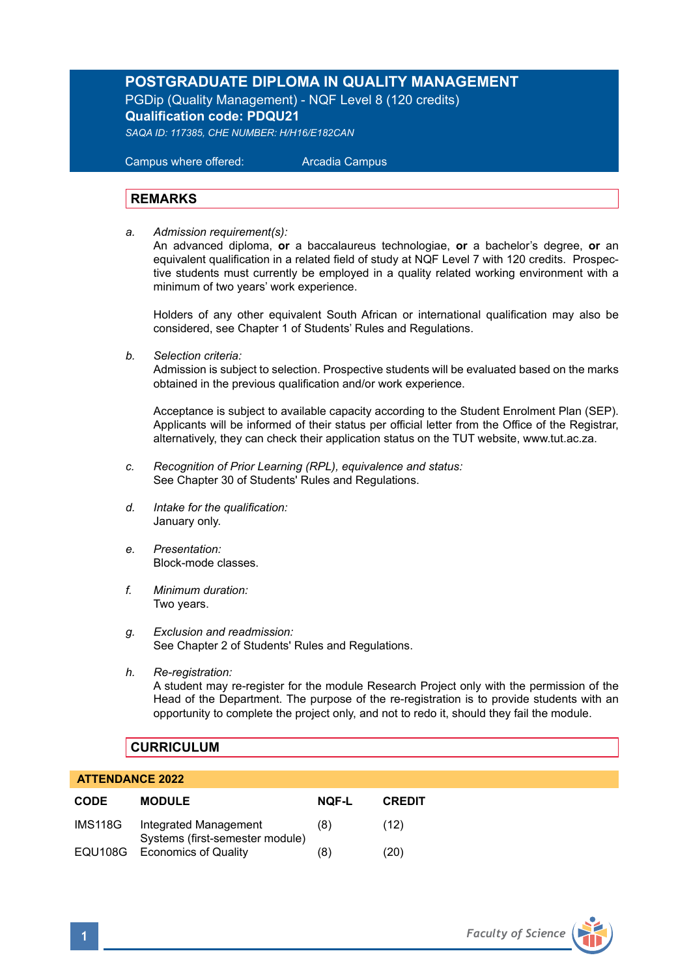## **POSTGRADUATE DIPLOMA IN QUALITY MANAGEMENT**

PGDip (Quality Management) - NQF Level 8 (120 credits) **Qualification code: PDQU21**

*SAQA ID: 117385, CHE NUMBER: H/H16/E182CAN* 

 Campus where offered: Arcadia Campus

## **REMARKS**

*a. Admission requirement(s):* 

An advanced diploma, **or** a baccalaureus technologiae, **or** a bachelor's degree, **or** an equivalent qualification in a related field of study at NQF Level 7 with 120 credits. Prospective students must currently be employed in a quality related working environment with a minimum of two years' work experience.

Holders of any other equivalent South African or international qualification may also be considered, see Chapter 1 of Students' Rules and Regulations.

*b. Selection criteria:*

Admission is subject to selection. Prospective students will be evaluated based on the marks obtained in the previous qualification and/or work experience.

Acceptance is subject to available capacity according to the Student Enrolment Plan (SEP). Applicants will be informed of their status per official letter from the Office of the Registrar, alternatively, they can check their application status on the TUT website, www.tut.ac.za.

- *c. Recognition of Prior Learning (RPL), equivalence and status:* See Chapter 30 of Students' Rules and Regulations.
- *d. Intake for the qualification:* January only.
- *e. Presentation:* Block-mode classes.
- *f. Minimum duration:* Two years.
- *g. Exclusion and readmission:* See Chapter 2 of Students' Rules and Regulations.
- *h. Re-registration:*

A student may re-register for the module Research Project only with the permission of the Head of the Department. The purpose of the re-registration is to provide students with an opportunity to complete the project only, and not to redo it, should they fail the module.

## **CURRICULUM**

## **ATTENDANCE 2022**

| <b>CODE</b> | <b>MODULE</b>                                            | NOF-L | <b>CREDIT</b> |
|-------------|----------------------------------------------------------|-------|---------------|
| IMS118G     | Integrated Management<br>Systems (first-semester module) | (8)   | (12)          |
| EQU108G     | <b>Economics of Quality</b>                              | (8)   | (20)          |

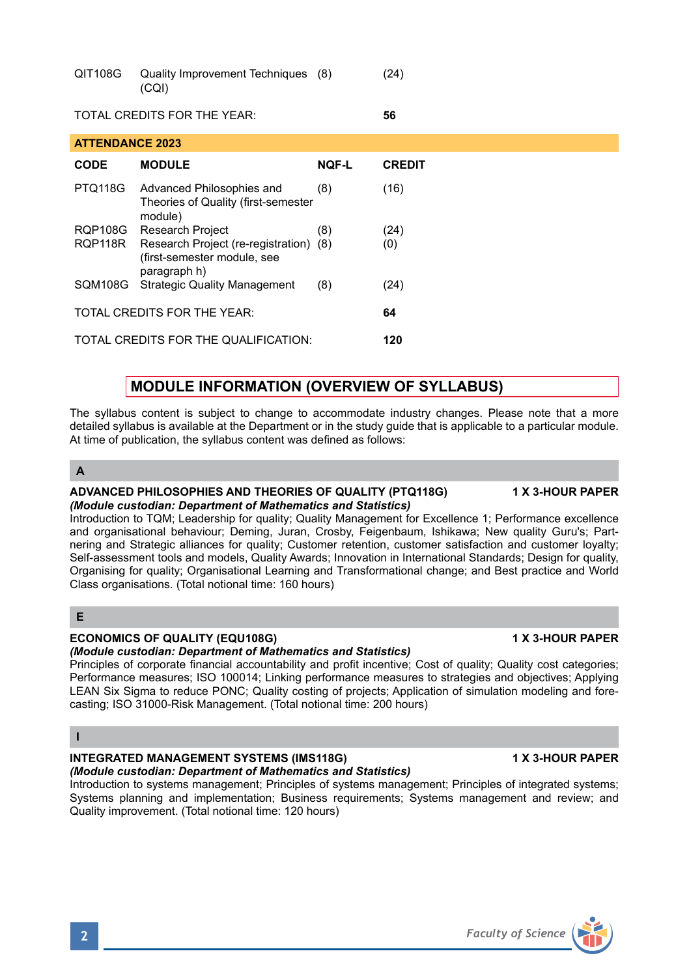| $-100$ | $\alpha$<br>(CQI)           | $\sim$ $\cdot$ $\prime$ |  |
|--------|-----------------------------|-------------------------|--|
|        | TOTAL CREDITS FOR THE YEAR: | 56                      |  |

QIT108G Quality Improvement Techniques (8) (24)

| <b>ATTENDANCE 2023</b>               |                                                                                       |              |               |  |  |  |
|--------------------------------------|---------------------------------------------------------------------------------------|--------------|---------------|--|--|--|
| <b>CODE</b>                          | <b>MODULE</b>                                                                         | <b>NOF-L</b> | <b>CREDIT</b> |  |  |  |
| <b>PTQ118G</b>                       | Advanced Philosophies and<br>Theories of Quality (first-semester<br>module)           | (8)          | (16)          |  |  |  |
| <b>RQP108G</b>                       | Research Project                                                                      | (8)          | (24)          |  |  |  |
| RQP118R                              | Research Project (re-registration) (8)<br>(first-semester module, see<br>paragraph h) |              | (0)           |  |  |  |
| <b>SQM108G</b>                       | <b>Strategic Quality Management</b>                                                   | (8)          | (24)          |  |  |  |
| TOTAL CREDITS FOR THE YEAR:          |                                                                                       |              |               |  |  |  |
| TOTAL CREDITS FOR THE QUALIFICATION: |                                                                                       |              |               |  |  |  |

# **MODULE INFORMATION (OVERVIEW OF SYLLABUS)**

The syllabus content is subject to change to accommodate industry changes. Please note that a more detailed syllabus is available at the Department or in the study guide that is applicable to a particular module. At time of publication, the syllabus content was defined as follows:

# **A**

### **ADVANCED PHILOSOPHIES AND THEORIES OF QUALITY (PTQ118G) 1 X 3-HOUR PAPER** *(Module custodian: Department of Mathematics and Statistics)*

Introduction to TQM; Leadership for quality; Quality Management for Excellence 1; Performance excellence and organisational behaviour; Deming, Juran, Crosby, Feigenbaum, Ishikawa; New quality Guru's; Partnering and Strategic alliances for quality; Customer retention, customer satisfaction and customer loyalty; Self-assessment tools and models, Quality Awards; Innovation in International Standards; Design for quality, Organising for quality; Organisational Learning and Transformational change; and Best practice and World Class organisations. (Total notional time: 160 hours)

# **E**

# **ECONOMICS OF QUALITY (EQU108G) 1 X 3-HOUR PAPER**

# *(Module custodian: Department of Mathematics and Statistics)*

Principles of corporate financial accountability and profit incentive; Cost of quality; Quality cost categories; Performance measures; ISO 100014; Linking performance measures to strategies and objectives; Applying LEAN Six Sigma to reduce PONC; Quality costing of projects; Application of simulation modeling and forecasting; ISO 31000-Risk Management. (Total notional time: 200 hours)

## **I**

### **INTEGRATED MANAGEMENT SYSTEMS (IMS118G)** 1 MILLET 1 X 3-HOUR PAPER *(Module custodian: Department of Mathematics and Statistics)*

Introduction to systems management; Principles of systems management; Principles of integrated systems; Systems planning and implementation; Business requirements; Systems management and review; and Quality improvement. (Total notional time: 120 hours)